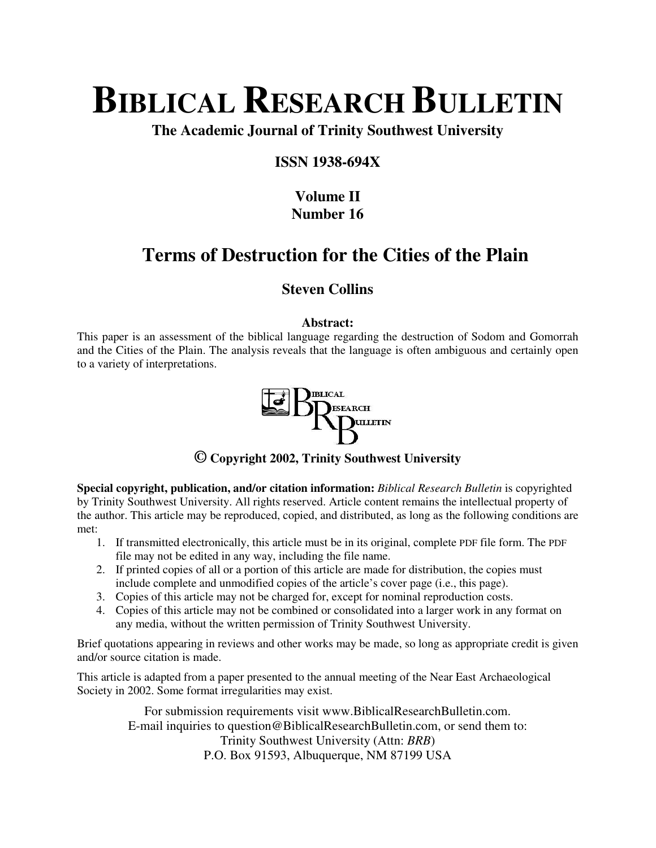# **BIBLICAL RESEARCH BULLETIN**

**The Academic Journal of Trinity Southwest University** 

### **ISSN 1938-694X**

## **Volume II Number 16**

# **Terms of Destruction for the Cities of the Plain**

### **Steven Collins**

### **Abstract:**

This paper is an assessment of the biblical language regarding the destruction of Sodom and Gomorrah and the Cities of the Plain. The analysis reveals that the language is often ambiguous and certainly open to a variety of interpretations.



**© Copyright 2002, Trinity Southwest University** 

**Special copyright, publication, and/or citation information:** *Biblical Research Bulletin* is copyrighted by Trinity Southwest University. All rights reserved. Article content remains the intellectual property of the author. This article may be reproduced, copied, and distributed, as long as the following conditions are met:

- 1. If transmitted electronically, this article must be in its original, complete PDF file form. The PDF file may not be edited in any way, including the file name.
- 2. If printed copies of all or a portion of this article are made for distribution, the copies must include complete and unmodified copies of the article's cover page (i.e., this page).
- 3. Copies of this article may not be charged for, except for nominal reproduction costs.
- 4. Copies of this article may not be combined or consolidated into a larger work in any format on any media, without the written permission of Trinity Southwest University.

Brief quotations appearing in reviews and other works may be made, so long as appropriate credit is given and/or source citation is made.

This article is adapted from a paper presented to the annual meeting of the Near East Archaeological Society in 2002. Some format irregularities may exist.

> For submission requirements visit www.BiblicalResearchBulletin.com. E-mail inquiries to question@BiblicalResearchBulletin.com, or send them to: Trinity Southwest University (Attn: *BRB*) P.O. Box 91593, Albuquerque, NM 87199 USA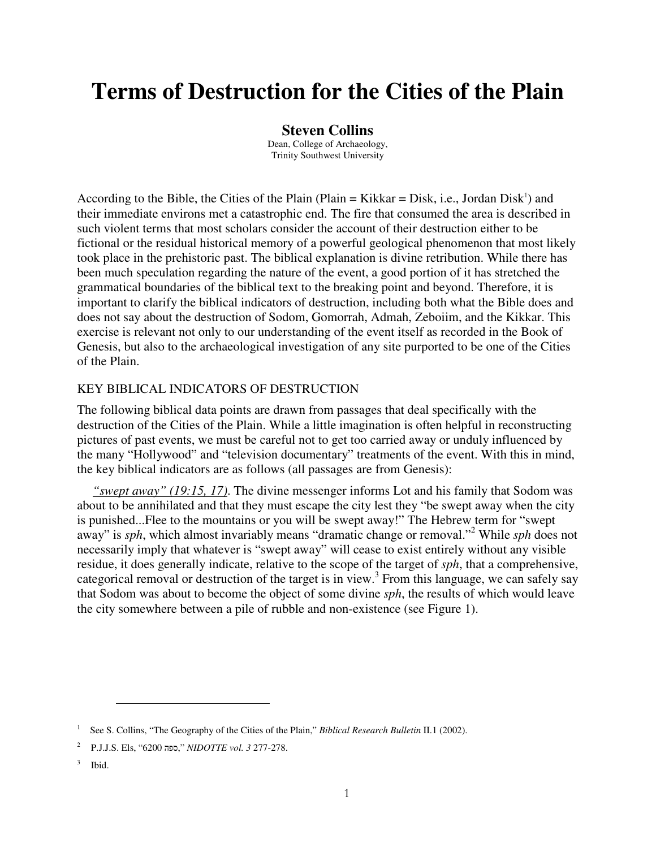# **Terms of Destruction for the Cities of the Plain**

#### **Steven Collins**

Dean, College of Archaeology, Trinity Southwest University

According to the Bible, the Cities of the Plain (Plain = Kikkar = Disk, i.e., Jordan Disk<sup>1</sup>) and their immediate environs met a catastrophic end. The fire that consumed the area is described in such violent terms that most scholars consider the account of their destruction either to be fictional or the residual historical memory of a powerful geological phenomenon that most likely took place in the prehistoric past. The biblical explanation is divine retribution. While there has been much speculation regarding the nature of the event, a good portion of it has stretched the grammatical boundaries of the biblical text to the breaking point and beyond. Therefore, it is important to clarify the biblical indicators of destruction, including both what the Bible does and does not say about the destruction of Sodom, Gomorrah, Admah, Zeboiim, and the Kikkar. This exercise is relevant not only to our understanding of the event itself as recorded in the Book of Genesis, but also to the archaeological investigation of any site purported to be one of the Cities of the Plain.

#### KEY BIBLICAL INDICATORS OF DESTRUCTION

The following biblical data points are drawn from passages that deal specifically with the destruction of the Cities of the Plain. While a little imagination is often helpful in reconstructing pictures of past events, we must be careful not to get too carried away or unduly influenced by the many "Hollywood" and "television documentary" treatments of the event. With this in mind, the key biblical indicators are as follows (all passages are from Genesis):

*"swept away" (19:15, 17)*. The divine messenger informs Lot and his family that Sodom was about to be annihilated and that they must escape the city lest they "be swept away when the city is punished...Flee to the mountains or you will be swept away!" The Hebrew term for "swept away" is *sph*, which almost invariably means "dramatic change or removal."<sup>2</sup> While *sph* does not necessarily imply that whatever is "swept away" will cease to exist entirely without any visible residue, it does generally indicate, relative to the scope of the target of *sph*, that a comprehensive, categorical removal or destruction of the target is in view.<sup>3</sup> From this language, we can safely say that Sodom was about to become the object of some divine *sph*, the results of which would leave the city somewhere between a pile of rubble and non-existence (see Figure 1).

<sup>1</sup> See S. Collins, "The Geography of the Cities of the Plain," *Biblical Research Bulletin* II.1 (2002).

<sup>2</sup> P.J.J.S. Els, "6200 ספה, "*NIDOTTE vol. 3* 277-278.

<sup>3</sup> Ibid.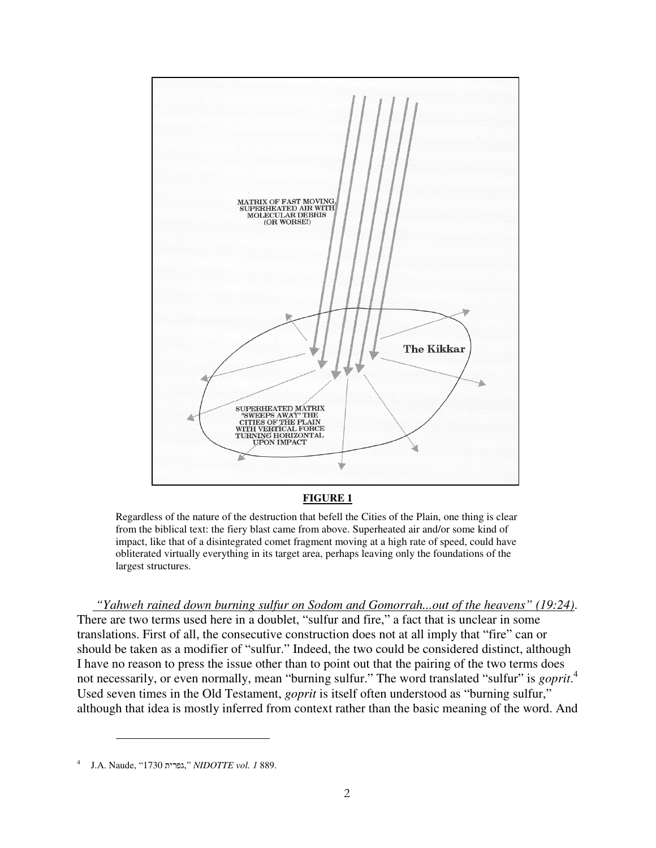

**FIGURE 1**

Regardless of the nature of the destruction that befell the Cities of the Plain, one thing is clear from the biblical text: the fiery blast came from above. Superheated air and/or some kind of impact, like that of a disintegrated comet fragment moving at a high rate of speed, could have obliterated virtually everything in its target area, perhaps leaving only the foundations of the largest structures.

 *"Yahweh rained down burning sulfur on Sodom and Gomorrah...out of the heavens" (19:24)*. There are two terms used here in a doublet, "sulfur and fire," a fact that is unclear in some translations. First of all, the consecutive construction does not at all imply that "fire" can or should be taken as a modifier of "sulfur." Indeed, the two could be considered distinct, although I have no reason to press the issue other than to point out that the pairing of the two terms does not necessarily, or even normally, mean "burning sulfur." The word translated "sulfur" is *goprit*. 4 Used seven times in the Old Testament, *goprit* is itself often understood as "burning sulfur," although that idea is mostly inferred from context rather than the basic meaning of the word. And

<sup>4</sup> J.A. Naude, "1730 גפרית, "*NIDOTTE vol. 1* 889.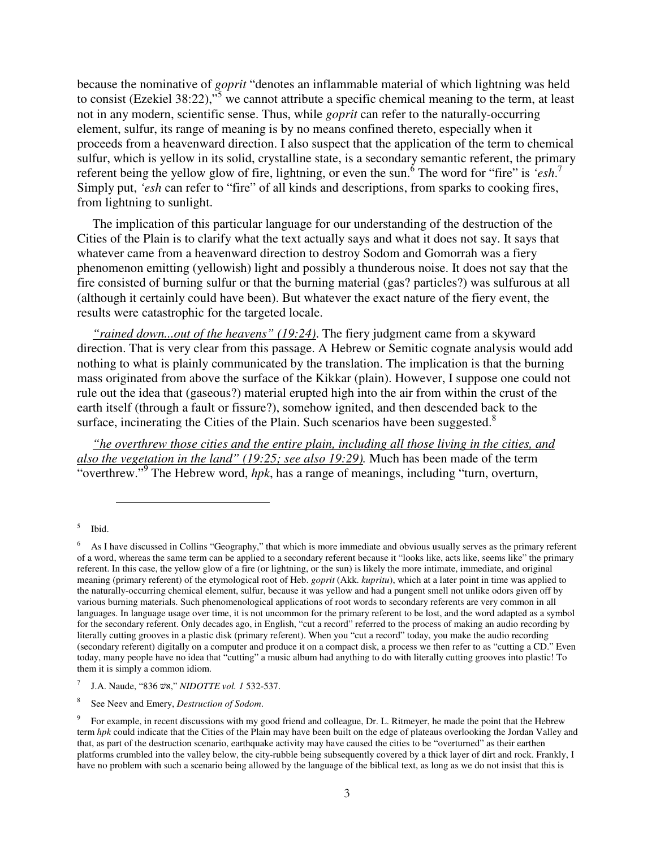because the nominative of *goprit* "denotes an inflammable material of which lightning was held to consist (Ezekiel 38:22),"<sup>5</sup> we cannot attribute a specific chemical meaning to the term, at least not in any modern, scientific sense. Thus, while *goprit* can refer to the naturally-occurring element, sulfur, its range of meaning is by no means confined thereto, especially when it proceeds from a heavenward direction. I also suspect that the application of the term to chemical sulfur, which is yellow in its solid, crystalline state, is a secondary semantic referent, the primary referent being the yellow glow of fire, lightning, or even the sun.<sup>6</sup> The word for "fire" is *'esh*.<sup>7</sup> Simply put, *'esh* can refer to "fire" of all kinds and descriptions, from sparks to cooking fires, from lightning to sunlight.

The implication of this particular language for our understanding of the destruction of the Cities of the Plain is to clarify what the text actually says and what it does not say. It says that whatever came from a heavenward direction to destroy Sodom and Gomorrah was a fiery phenomenon emitting (yellowish) light and possibly a thunderous noise. It does not say that the fire consisted of burning sulfur or that the burning material (gas? particles?) was sulfurous at all (although it certainly could have been). But whatever the exact nature of the fiery event, the results were catastrophic for the targeted locale.

*"rained down...out of the heavens" (19:24)*. The fiery judgment came from a skyward direction. That is very clear from this passage. A Hebrew or Semitic cognate analysis would add nothing to what is plainly communicated by the translation. The implication is that the burning mass originated from above the surface of the Kikkar (plain). However, I suppose one could not rule out the idea that (gaseous?) material erupted high into the air from within the crust of the earth itself (through a fault or fissure?), somehow ignited, and then descended back to the surface, incinerating the Cities of the Plain. Such scenarios have been suggested.<sup>8</sup>

*"he overthrew those cities and the entire plain, including all those living in the cities, and also the vegetation in the land" (19:25; see also 19:29).* Much has been made of the term "overthrew."<sup>9</sup> The Hebrew word, *hpk*, has a range of meanings, including "turn, overturn,

5 Ibid.

<sup>6</sup> As I have discussed in Collins "Geography," that which is more immediate and obvious usually serves as the primary referent of a word, whereas the same term can be applied to a secondary referent because it "looks like, acts like, seems like" the primary referent. In this case, the yellow glow of a fire (or lightning, or the sun) is likely the more intimate, immediate, and original meaning (primary referent) of the etymological root of Heb. *goprit* (Akk. *kupritu*), which at a later point in time was applied to the naturally-occurring chemical element, sulfur, because it was yellow and had a pungent smell not unlike odors given off by various burning materials. Such phenomenological applications of root words to secondary referents are very common in all languages. In language usage over time, it is not uncommon for the primary referent to be lost, and the word adapted as a symbol for the secondary referent. Only decades ago, in English, "cut a record" referred to the process of making an audio recording by literally cutting grooves in a plastic disk (primary referent). When you "cut a record" today, you make the audio recording (secondary referent) digitally on a computer and produce it on a compact disk, a process we then refer to as "cutting a CD." Even today, many people have no idea that "cutting" a music album had anything to do with literally cutting grooves into plastic! To them it is simply a common idiom.

<sup>7</sup> J.A. Naude, "836 אשׁ, "*NIDOTTE vol. 1* 532-537.

<sup>8</sup> See Neev and Emery, *Destruction of Sodom*.

<sup>9</sup> For example, in recent discussions with my good friend and colleague, Dr. L. Ritmeyer, he made the point that the Hebrew term *hpk* could indicate that the Cities of the Plain may have been built on the edge of plateaus overlooking the Jordan Valley and that, as part of the destruction scenario, earthquake activity may have caused the cities to be "overturned" as their earthen platforms crumbled into the valley below, the city-rubble being subsequently covered by a thick layer of dirt and rock. Frankly, I have no problem with such a scenario being allowed by the language of the biblical text, as long as we do not insist that this is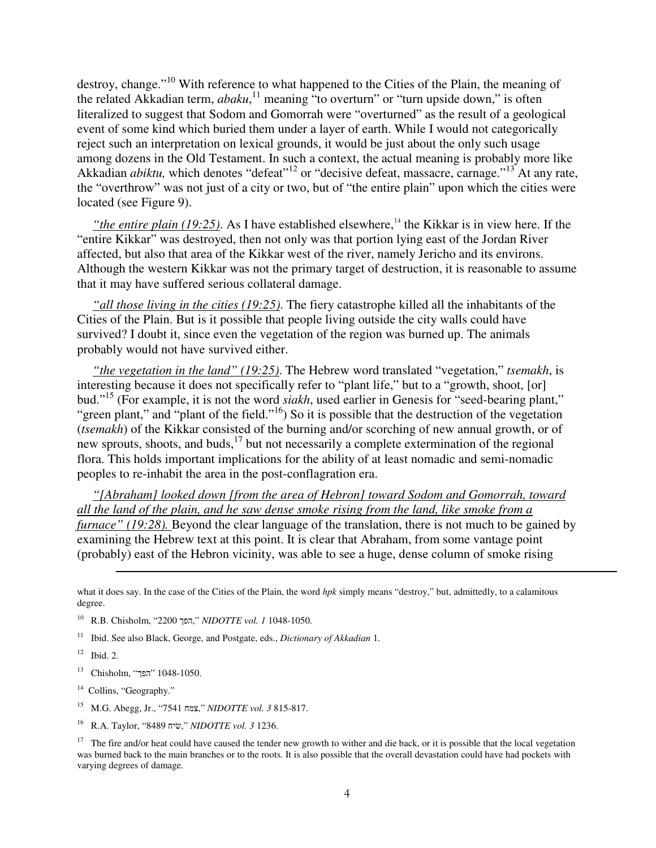destroy, change."<sup>10</sup> With reference to what happened to the Cities of the Plain, the meaning of the related Akkadian term, *abaku*, <sup>11</sup> meaning "to overturn" or "turn upside down," is often literalized to suggest that Sodom and Gomorrah were "overturned" as the result of a geological event of some kind which buried them under a layer of earth. While I would not categorically reject such an interpretation on lexical grounds, it would be just about the only such usage among dozens in the Old Testament. In such a context, the actual meaning is probably more like Akkadian *abiktu*, which denotes "defeat"<sup>12</sup> or "decisive defeat, massacre, carnage."<sup>13</sup> At any rate, the "overthrow" was not just of a city or two, but of "the entire plain" upon which the cities were located (see Figure 9).

"*the entire plain (19:25)*. As I have established elsewhere,<sup>14</sup> the Kikkar is in view here. If the "entire Kikkar" was destroyed, then not only was that portion lying east of the Jordan River affected, but also that area of the Kikkar west of the river, namely Jericho and its environs. Although the western Kikkar was not the primary target of destruction, it is reasonable to assume that it may have suffered serious collateral damage.

*"all those living in the cities (19:25)*. The fiery catastrophe killed all the inhabitants of the Cities of the Plain. But is it possible that people living outside the city walls could have survived? I doubt it, since even the vegetation of the region was burned up. The animals probably would not have survived either.

*"the vegetation in the land" (19:25)*. The Hebrew word translated "vegetation," *tsemakh*, is interesting because it does not specifically refer to "plant life," but to a "growth, shoot, [or] bud."<sup>15</sup> (For example, it is not the word *siakh*, used earlier in Genesis for "seed-bearing plant," "green plant," and "plant of the field."<sup>16</sup>) So it is possible that the destruction of the vegetation (*tsemakh*) of the Kikkar consisted of the burning and/or scorching of new annual growth, or of new sprouts, shoots, and buds,<sup>17</sup> but not necessarily a complete extermination of the regional flora. This holds important implications for the ability of at least nomadic and semi-nomadic peoples to re-inhabit the area in the post-conflagration era.

*"[Abraham] looked down [from the area of Hebron] toward Sodom and Gomorrah, toward all the land of the plain, and he saw dense smoke rising from the land, like smoke from a furnace" (19:28).* Beyond the clear language of the translation, there is not much to be gained by examining the Hebrew text at this point. It is clear that Abraham, from some vantage point (probably) east of the Hebron vicinity, was able to see a huge, dense column of smoke rising

<sup>14</sup> Collins, "Geography."

 $\overline{a}$ 

- <sup>15</sup> M.G. Abegg, Jr., "7541 צמח, "*NIDOTTE vol. 3* 815-817.
- <sup>16</sup> R.A. Taylor, "8489 שׂיח, "*NIDOTTE vol. 3* 1236.

 $17$  The fire and/or heat could have caused the tender new growth to wither and die back, or it is possible that the local vegetation was burned back to the main branches or to the roots. It is also possible that the overall devastation could have had pockets with varying degrees of damage.

what it does say. In the case of the Cities of the Plain, the word *hpk* simply means "destroy," but, admittedly, to a calamitous degree.

<sup>10</sup> R.B. Chisholm, "2200 הפך, "*NIDOTTE vol. 1* 1048-1050.

<sup>11</sup> Ibid. See also Black, George, and Postgate, eds., *Dictionary of Akkadian* 1.

 $12$  Ibid. 2.

 $13$  Chisholm, "הפך"  $1048-1050$ .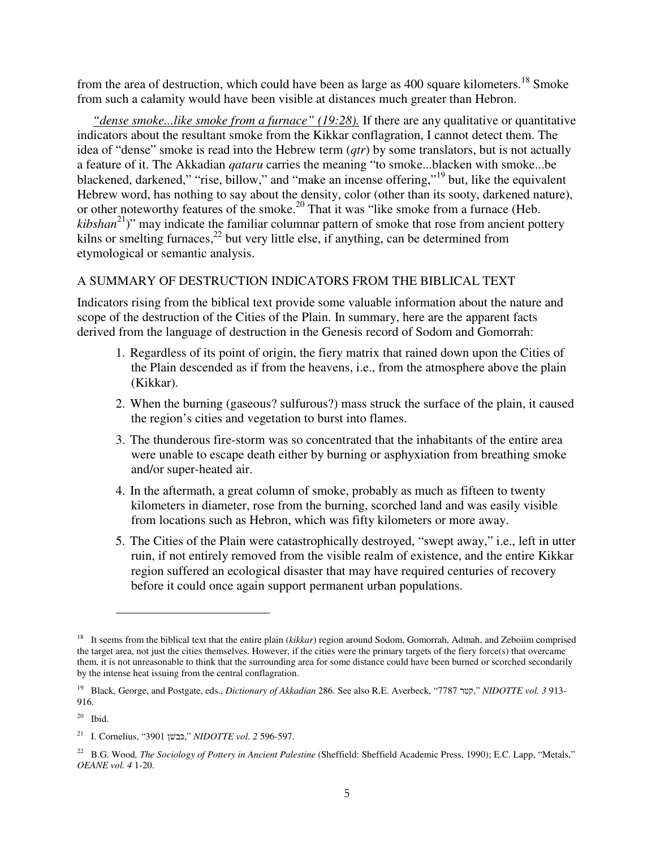from the area of destruction, which could have been as large as 400 square kilometers.<sup>18</sup> Smoke from such a calamity would have been visible at distances much greater than Hebron.

*"dense smoke...like smoke from a furnace" (19:28).* If there are any qualitative or quantitative indicators about the resultant smoke from the Kikkar conflagration, I cannot detect them. The idea of "dense" smoke is read into the Hebrew term (*qtr*) by some translators, but is not actually a feature of it. The Akkadian *qataru* carries the meaning "to smoke...blacken with smoke...be blackened, darkened," "rise, billow," and "make an incense offering,"<sup>19</sup> but, like the equivalent Hebrew word, has nothing to say about the density, color (other than its sooty, darkened nature), or other noteworthy features of the smoke.<sup>20</sup> That it was "like smoke from a furnace (Heb. *kibshan*<sup>21</sup>)" may indicate the familiar columnar pattern of smoke that rose from ancient pottery kilns or smelting furnaces, $^{22}$  but very little else, if anything, can be determined from etymological or semantic analysis.

### A SUMMARY OF DESTRUCTION INDICATORS FROM THE BIBLICAL TEXT

Indicators rising from the biblical text provide some valuable information about the nature and scope of the destruction of the Cities of the Plain. In summary, here are the apparent facts derived from the language of destruction in the Genesis record of Sodom and Gomorrah:

- 1. Regardless of its point of origin, the fiery matrix that rained down upon the Cities of the Plain descended as if from the heavens, i.e., from the atmosphere above the plain (Kikkar).
- 2. When the burning (gaseous? sulfurous?) mass struck the surface of the plain, it caused the region's cities and vegetation to burst into flames.
- 3. The thunderous fire-storm was so concentrated that the inhabitants of the entire area were unable to escape death either by burning or asphyxiation from breathing smoke and/or super-heated air.
- 4. In the aftermath, a great column of smoke, probably as much as fifteen to twenty kilometers in diameter, rose from the burning, scorched land and was easily visible from locations such as Hebron, which was fifty kilometers or more away.
- 5. The Cities of the Plain were catastrophically destroyed, "swept away," i.e., left in utter ruin, if not entirely removed from the visible realm of existence, and the entire Kikkar region suffered an ecological disaster that may have required centuries of recovery before it could once again support permanent urban populations.

 $\overline{a}$ 

<sup>&</sup>lt;sup>18</sup> It seems from the biblical text that the entire plain (*kikkar*) region around Sodom, Gomorrah, Admah, and Zeboiim comprised the target area, not just the cities themselves. However, if the cities were the primary targets of the fiery force(s) that overcame them, it is not unreasonable to think that the surrounding area for some distance could have been burned or scorched secondarily by the intense heat issuing from the central conflagration.

<sup>19</sup> Black, George, and Postgate, eds., *Dictionary of Akkadian* 286. See also R.E. Averbeck, "7787 קטר, "*NIDOTTE vol. 3* 913- 916.

 $20$  Ibid.

<sup>21</sup> I. Cornelius, "3901 כּבשׁן, "*NIDOTTE vol. 2* 596-597.

<sup>&</sup>lt;sup>22</sup> B.G. Wood, *The Sociology of Pottery in Ancient Palestine* (Sheffield: Sheffield Academic Press, 1990); E.C. Lapp, "Metals," *OEANE vol. 4* 1-20.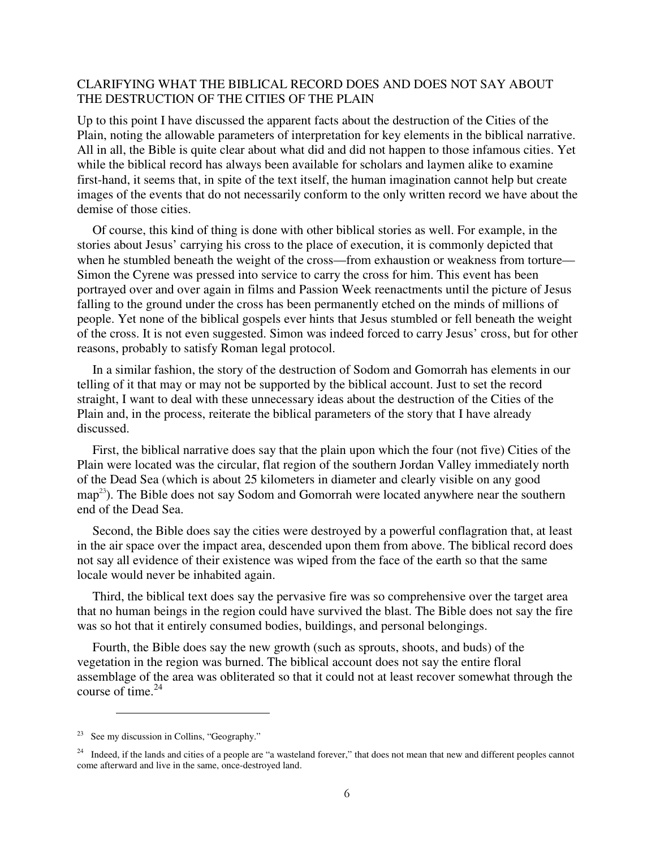### CLARIFYING WHAT THE BIBLICAL RECORD DOES AND DOES NOT SAY ABOUT THE DESTRUCTION OF THE CITIES OF THE PLAIN

Up to this point I have discussed the apparent facts about the destruction of the Cities of the Plain, noting the allowable parameters of interpretation for key elements in the biblical narrative. All in all, the Bible is quite clear about what did and did not happen to those infamous cities. Yet while the biblical record has always been available for scholars and laymen alike to examine first-hand, it seems that, in spite of the text itself, the human imagination cannot help but create images of the events that do not necessarily conform to the only written record we have about the demise of those cities.

Of course, this kind of thing is done with other biblical stories as well. For example, in the stories about Jesus' carrying his cross to the place of execution, it is commonly depicted that when he stumbled beneath the weight of the cross—from exhaustion or weakness from torture— Simon the Cyrene was pressed into service to carry the cross for him. This event has been portrayed over and over again in films and Passion Week reenactments until the picture of Jesus falling to the ground under the cross has been permanently etched on the minds of millions of people. Yet none of the biblical gospels ever hints that Jesus stumbled or fell beneath the weight of the cross. It is not even suggested. Simon was indeed forced to carry Jesus' cross, but for other reasons, probably to satisfy Roman legal protocol.

In a similar fashion, the story of the destruction of Sodom and Gomorrah has elements in our telling of it that may or may not be supported by the biblical account. Just to set the record straight, I want to deal with these unnecessary ideas about the destruction of the Cities of the Plain and, in the process, reiterate the biblical parameters of the story that I have already discussed.

First, the biblical narrative does say that the plain upon which the four (not five) Cities of the Plain were located was the circular, flat region of the southern Jordan Valley immediately north of the Dead Sea (which is about 25 kilometers in diameter and clearly visible on any good map<sup>23</sup>). The Bible does not say Sodom and Gomorrah were located anywhere near the southern end of the Dead Sea.

Second, the Bible does say the cities were destroyed by a powerful conflagration that, at least in the air space over the impact area, descended upon them from above. The biblical record does not say all evidence of their existence was wiped from the face of the earth so that the same locale would never be inhabited again.

Third, the biblical text does say the pervasive fire was so comprehensive over the target area that no human beings in the region could have survived the blast. The Bible does not say the fire was so hot that it entirely consumed bodies, buildings, and personal belongings.

Fourth, the Bible does say the new growth (such as sprouts, shoots, and buds) of the vegetation in the region was burned. The biblical account does not say the entire floral assemblage of the area was obliterated so that it could not at least recover somewhat through the course of time. $^{24}$ 

<sup>&</sup>lt;sup>23</sup> See my discussion in Collins, "Geography."

<sup>&</sup>lt;sup>24</sup> Indeed, if the lands and cities of a people are "a wasteland forever," that does not mean that new and different peoples cannot come afterward and live in the same, once-destroyed land.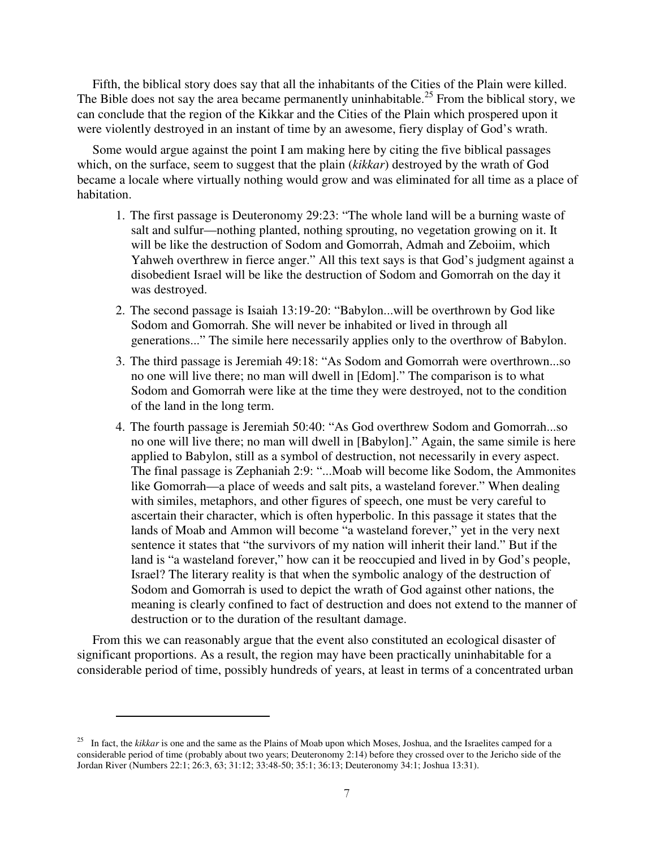Fifth, the biblical story does say that all the inhabitants of the Cities of the Plain were killed. The Bible does not say the area became permanently uninhabitable.<sup>25</sup> From the biblical story, we can conclude that the region of the Kikkar and the Cities of the Plain which prospered upon it were violently destroyed in an instant of time by an awesome, fiery display of God's wrath.

Some would argue against the point I am making here by citing the five biblical passages which, on the surface, seem to suggest that the plain (*kikkar*) destroyed by the wrath of God became a locale where virtually nothing would grow and was eliminated for all time as a place of habitation.

- 1. The first passage is Deuteronomy 29:23: "The whole land will be a burning waste of salt and sulfur—nothing planted, nothing sprouting, no vegetation growing on it. It will be like the destruction of Sodom and Gomorrah, Admah and Zeboiim, which Yahweh overthrew in fierce anger." All this text says is that God's judgment against a disobedient Israel will be like the destruction of Sodom and Gomorrah on the day it was destroyed.
- 2. The second passage is Isaiah 13:19-20: "Babylon...will be overthrown by God like Sodom and Gomorrah. She will never be inhabited or lived in through all generations..." The simile here necessarily applies only to the overthrow of Babylon.
- 3. The third passage is Jeremiah 49:18: "As Sodom and Gomorrah were overthrown...so no one will live there; no man will dwell in [Edom]." The comparison is to what Sodom and Gomorrah were like at the time they were destroyed, not to the condition of the land in the long term.
- 4. The fourth passage is Jeremiah 50:40: "As God overthrew Sodom and Gomorrah...so no one will live there; no man will dwell in [Babylon]." Again, the same simile is here applied to Babylon, still as a symbol of destruction, not necessarily in every aspect. The final passage is Zephaniah 2:9: "...Moab will become like Sodom, the Ammonites like Gomorrah—a place of weeds and salt pits, a wasteland forever." When dealing with similes, metaphors, and other figures of speech, one must be very careful to ascertain their character, which is often hyperbolic. In this passage it states that the lands of Moab and Ammon will become "a wasteland forever," yet in the very next sentence it states that "the survivors of my nation will inherit their land." But if the land is "a wasteland forever," how can it be reoccupied and lived in by God's people, Israel? The literary reality is that when the symbolic analogy of the destruction of Sodom and Gomorrah is used to depict the wrath of God against other nations, the meaning is clearly confined to fact of destruction and does not extend to the manner of destruction or to the duration of the resultant damage.

From this we can reasonably argue that the event also constituted an ecological disaster of significant proportions. As a result, the region may have been practically uninhabitable for a considerable period of time, possibly hundreds of years, at least in terms of a concentrated urban

<sup>&</sup>lt;sup>25</sup> In fact, the *kikkar* is one and the same as the Plains of Moab upon which Moses, Joshua, and the Israelites camped for a considerable period of time (probably about two years; Deuteronomy 2:14) before they crossed over to the Jericho side of the Jordan River (Numbers 22:1; 26:3, 63; 31:12; 33:48-50; 35:1; 36:13; Deuteronomy 34:1; Joshua 13:31).